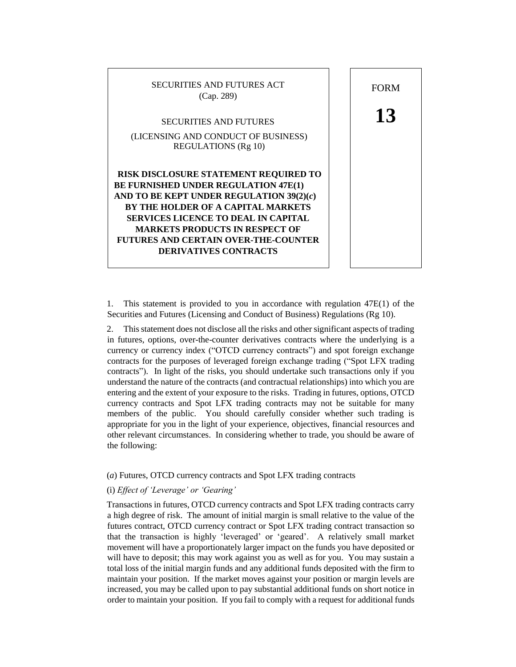

FORM **13** 

1. This statement is provided to you in accordance with regulation 47E(1) of the Securities and Futures (Licensing and Conduct of Business) Regulations (Rg 10).

2. This statement does not disclose all the risks and other significant aspects of trading in futures, options, over-the-counter derivatives contracts where the underlying is a currency or currency index ("OTCD currency contracts") and spot foreign exchange contracts for the purposes of leveraged foreign exchange trading ("Spot LFX trading contracts"). In light of the risks, you should undertake such transactions only if you understand the nature of the contracts (and contractual relationships) into which you are entering and the extent of your exposure to the risks. Trading in futures, options, OTCD currency contracts and Spot LFX trading contracts may not be suitable for many members of the public. You should carefully consider whether such trading is appropriate for you in the light of your experience, objectives, financial resources and other relevant circumstances. In considering whether to trade, you should be aware of the following:

### (*a*) Futures, OTCD currency contracts and Spot LFX trading contracts

# (i) *Effect of 'Leverage' or 'Gearing'*

Transactions in futures, OTCD currency contracts and Spot LFX trading contracts carry a high degree of risk. The amount of initial margin is small relative to the value of the futures contract, OTCD currency contract or Spot LFX trading contract transaction so that the transaction is highly 'leveraged' or 'geared'. A relatively small market movement will have a proportionately larger impact on the funds you have deposited or will have to deposit; this may work against you as well as for you. You may sustain a total loss of the initial margin funds and any additional funds deposited with the firm to maintain your position. If the market moves against your position or margin levels are increased, you may be called upon to pay substantial additional funds on short notice in order to maintain your position. If you fail to comply with a request for additional funds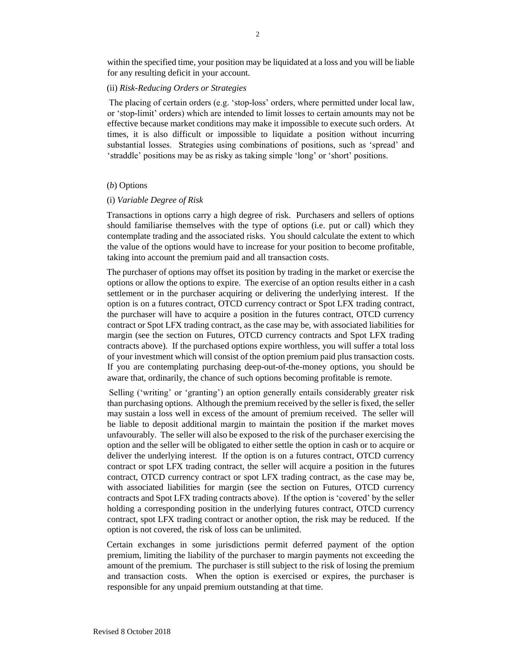within the specified time, your position may be liquidated at a loss and you will be liable for any resulting deficit in your account.

## (ii) *Risk-Reducing Orders or Strategies*

The placing of certain orders (e.g. 'stop-loss' orders, where permitted under local law, or 'stop-limit' orders) which are intended to limit losses to certain amounts may not be effective because market conditions may make it impossible to execute such orders. At times, it is also difficult or impossible to liquidate a position without incurring substantial losses. Strategies using combinations of positions, such as 'spread' and 'straddle' positions may be as risky as taking simple 'long' or 'short' positions.

# (*b*) Options

## (i) *Variable Degree of Risk*

Transactions in options carry a high degree of risk. Purchasers and sellers of options should familiarise themselves with the type of options (i.e. put or call) which they contemplate trading and the associated risks. You should calculate the extent to which the value of the options would have to increase for your position to become profitable, taking into account the premium paid and all transaction costs.

The purchaser of options may offset its position by trading in the market or exercise the options or allow the options to expire. The exercise of an option results either in a cash settlement or in the purchaser acquiring or delivering the underlying interest. If the option is on a futures contract, OTCD currency contract or Spot LFX trading contract, the purchaser will have to acquire a position in the futures contract, OTCD currency contract or Spot LFX trading contract, as the case may be, with associated liabilities for margin (see the section on Futures, OTCD currency contracts and Spot LFX trading contracts above). If the purchased options expire worthless, you will suffer a total loss of your investment which will consist of the option premium paid plus transaction costs. If you are contemplating purchasing deep-out-of-the-money options, you should be aware that, ordinarily, the chance of such options becoming profitable is remote.

Selling ('writing' or 'granting') an option generally entails considerably greater risk than purchasing options. Although the premium received by the seller is fixed, the seller may sustain a loss well in excess of the amount of premium received. The seller will be liable to deposit additional margin to maintain the position if the market moves unfavourably. The seller will also be exposed to the risk of the purchaser exercising the option and the seller will be obligated to either settle the option in cash or to acquire or deliver the underlying interest. If the option is on a futures contract, OTCD currency contract or spot LFX trading contract, the seller will acquire a position in the futures contract, OTCD currency contract or spot LFX trading contract, as the case may be, with associated liabilities for margin (see the section on Futures, OTCD currency contracts and Spot LFX trading contracts above). If the option is 'covered' by the seller holding a corresponding position in the underlying futures contract, OTCD currency contract, spot LFX trading contract or another option, the risk may be reduced. If the option is not covered, the risk of loss can be unlimited.

Certain exchanges in some jurisdictions permit deferred payment of the option premium, limiting the liability of the purchaser to margin payments not exceeding the amount of the premium. The purchaser is still subject to the risk of losing the premium and transaction costs. When the option is exercised or expires, the purchaser is responsible for any unpaid premium outstanding at that time.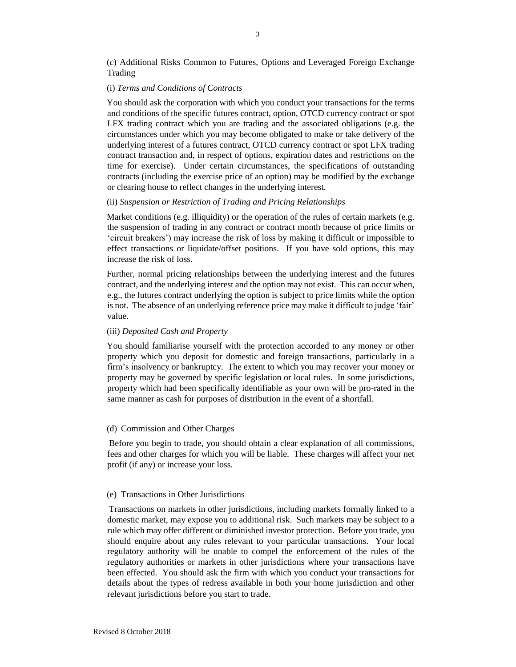(*c*) Additional Risks Common to Futures, Options and Leveraged Foreign Exchange Trading

## (i) *Terms and Conditions of Contracts*

You should ask the corporation with which you conduct your transactions for the terms and conditions of the specific futures contract, option, OTCD currency contract or spot LFX trading contract which you are trading and the associated obligations (e.g. the circumstances under which you may become obligated to make or take delivery of the underlying interest of a futures contract, OTCD currency contract or spot LFX trading contract transaction and, in respect of options, expiration dates and restrictions on the time for exercise). Under certain circumstances, the specifications of outstanding contracts (including the exercise price of an option) may be modified by the exchange or clearing house to reflect changes in the underlying interest.

#### (ii) *Suspension or Restriction of Trading and Pricing Relationships*

Market conditions (e.g. illiquidity) or the operation of the rules of certain markets (e.g. the suspension of trading in any contract or contract month because of price limits or 'circuit breakers') may increase the risk of loss by making it difficult or impossible to effect transactions or liquidate/offset positions. If you have sold options, this may increase the risk of loss.

Further, normal pricing relationships between the underlying interest and the futures contract, and the underlying interest and the option may not exist. This can occur when, e.g., the futures contract underlying the option is subject to price limits while the option is not. The absence of an underlying reference price may make it difficult to judge 'fair' value.

#### (iii) *Deposited Cash and Property*

You should familiarise yourself with the protection accorded to any money or other property which you deposit for domestic and foreign transactions, particularly in a firm's insolvency or bankruptcy. The extent to which you may recover your money or property may be governed by specific legislation or local rules. In some jurisdictions, property which had been specifically identifiable as your own will be pro-rated in the same manner as cash for purposes of distribution in the event of a shortfall.

#### (d) Commission and Other Charges

Before you begin to trade, you should obtain a clear explanation of all commissions, fees and other charges for which you will be liable. These charges will affect your net profit (if any) or increase your loss.

#### (e) Transactions in Other Jurisdictions

Transactions on markets in other jurisdictions, including markets formally linked to a domestic market, may expose you to additional risk. Such markets may be subject to a rule which may offer different or diminished investor protection. Before you trade, you should enquire about any rules relevant to your particular transactions. Your local regulatory authority will be unable to compel the enforcement of the rules of the regulatory authorities or markets in other jurisdictions where your transactions have been effected. You should ask the firm with which you conduct your transactions for details about the types of redress available in both your home jurisdiction and other relevant jurisdictions before you start to trade.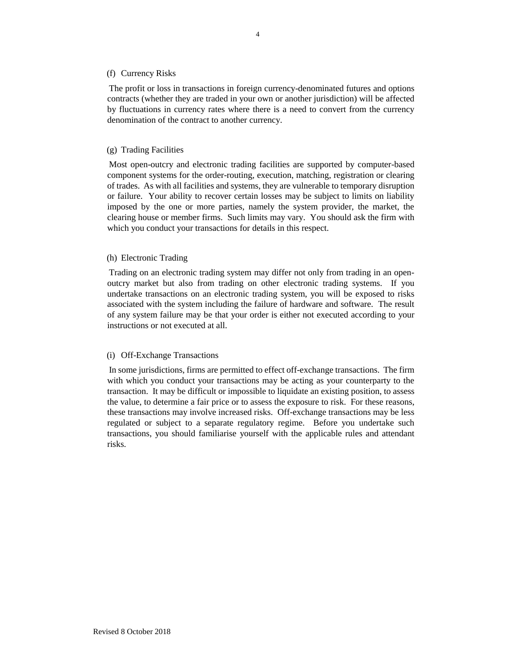## (f) Currency Risks

The profit or loss in transactions in foreign currency-denominated futures and options contracts (whether they are traded in your own or another jurisdiction) will be affected by fluctuations in currency rates where there is a need to convert from the currency denomination of the contract to another currency.

#### (g) Trading Facilities

Most open-outcry and electronic trading facilities are supported by computer-based component systems for the order-routing, execution, matching, registration or clearing of trades. As with all facilities and systems, they are vulnerable to temporary disruption or failure. Your ability to recover certain losses may be subject to limits on liability imposed by the one or more parties, namely the system provider, the market, the clearing house or member firms. Such limits may vary. You should ask the firm with which you conduct your transactions for details in this respect.

#### (h) Electronic Trading

Trading on an electronic trading system may differ not only from trading in an openoutcry market but also from trading on other electronic trading systems. If you undertake transactions on an electronic trading system, you will be exposed to risks associated with the system including the failure of hardware and software. The result of any system failure may be that your order is either not executed according to your instructions or not executed at all.

#### (i) Off-Exchange Transactions

In some jurisdictions, firms are permitted to effect off-exchange transactions. The firm with which you conduct your transactions may be acting as your counterparty to the transaction. It may be difficult or impossible to liquidate an existing position, to assess the value, to determine a fair price or to assess the exposure to risk. For these reasons, these transactions may involve increased risks. Off-exchange transactions may be less regulated or subject to a separate regulatory regime. Before you undertake such transactions, you should familiarise yourself with the applicable rules and attendant risks.